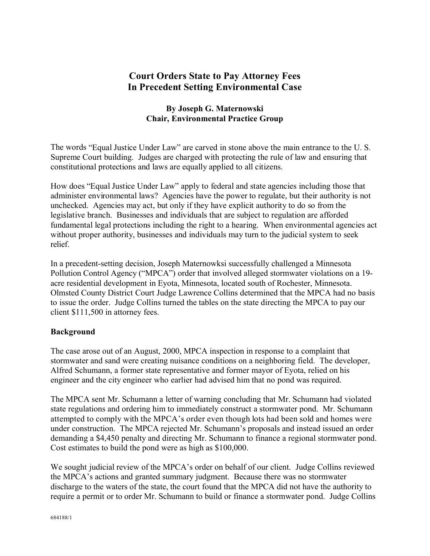# **Court Orders State to Pay Attorney Fees In Precedent Setting Environmental Case**

### **By Joseph G. Maternowski Chair, Environmental Practice Group**

The words "Equal Justice Under Law" are carved in stone above the main entrance to the U. S. Supreme Court building. Judges are charged with protecting the rule of law and ensuring that constitutional protections and laws are equally applied to all citizens.

How does "Equal Justice Under Law" apply to federal and state agencies including those that administer environmental laws? Agencies have the power to regulate, but their authority is not unchecked. Agencies may act, but only if they have explicit authority to do so from the legislative branch. Businesses and individuals that are subject to regulation are afforded fundamental legal protections including the right to a hearing. When environmental agencies act without proper authority, businesses and individuals may turn to the judicial system to seek relief.

In a precedent-setting decision, Joseph Maternowksi successfully challenged a Minnesota Pollution Control Agency ("MPCA") order that involved alleged stormwater violations on a 19 acre residential development in Eyota, Minnesota, located south of Rochester, Minnesota. Olmsted County District Court Judge Lawrence Collins determined that the MPCA had no basis to issue the order. Judge Collins turned the tables on the state directing the MPCA to pay our client \$111,500 in attorney fees.

#### **Background**

The case arose out of an August, 2000, MPCA inspection in response to a complaint that stormwater and sand were creating nuisance conditions on a neighboring field. The developer, Alfred Schumann, a former state representative and former mayor of Eyota, relied on his engineer and the city engineer who earlier had advised him that no pond was required.

The MPCA sent Mr. Schumann a letter of warning concluding that Mr. Schumann had violated state regulations and ordering him to immediately construct a stormwater pond. Mr. Schumann attempted to comply with the MPCA's order even though lots had been sold and homes were under construction. The MPCA rejected Mr. Schumann's proposals and instead issued an order demanding a \$4,450 penalty and directing Mr. Schumann to finance a regional stormwater pond. Cost estimates to build the pond were as high as \$100,000.

We sought judicial review of the MPCA's order on behalf of our client. Judge Collins reviewed the MPCA's actions and granted summary judgment. Because there was no stormwater discharge to the waters of the state, the court found that the MPCA did not have the authority to require a permit or to order Mr. Schumann to build or finance a stormwater pond. Judge Collins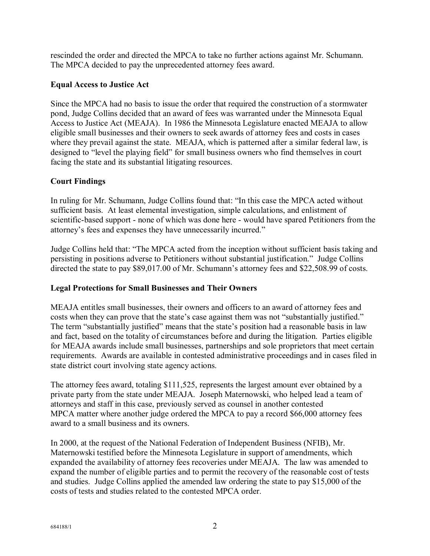rescinded the order and directed the MPCA to take no further actions against Mr. Schumann. The MPCA decided to pay the unprecedented attorney fees award.

## **Equal Access to Justice Act**

Since the MPCA had no basis to issue the order that required the construction of a stormwater pond, Judge Collins decided that an award of fees was warranted under the Minnesota Equal Access to Justice Act (MEAJA). In 1986 the Minnesota Legislature enacted MEAJA to allow eligible small businesses and their owners to seek awards of attorney fees and costs in cases where they prevail against the state. MEAJA, which is patterned after a similar federal law, is designed to "level the playing field" for small business owners who find themselves in court facing the state and its substantial litigating resources.

# **Court Findings**

In ruling for Mr. Schumann, Judge Collins found that: "In this case the MPCA acted without sufficient basis. At least elemental investigation, simple calculations, and enlistment of scientific-based support - none of which was done here - would have spared Petitioners from the attorney's fees and expenses they have unnecessarily incurred."

Judge Collins held that: "The MPCA acted from the inception without sufficient basis taking and persisting in positions adverse to Petitioners without substantial justification." Judge Collins directed the state to pay \$89,017.00 of Mr. Schumann's attorney fees and \$22,508.99 of costs.

# **Legal Protections for Small Businesses and Their Owners**

MEAJA entitles small businesses, their owners and officers to an award of attorney fees and costs when they can prove that the state's case against them was not "substantially justified." The term "substantially justified" means that the state's position had a reasonable basis in law and fact, based on the totality of circumstances before and during the litigation. Parties eligible for MEAJA awards include small businesses, partnerships and sole proprietors that meet certain requirements. Awards are available in contested administrative proceedings and in cases filed in state district court involving state agency actions.

The attorney fees award, totaling \$111,525, represents the largest amount ever obtained by a private party from the state under MEAJA. Joseph Maternowski, who helped lead a team of attorneys and staff in this case, previously served as counsel in another contested MPCA matter where another judge ordered the MPCA to pay a record \$66,000 attorney fees award to a small business and its owners.

In 2000, at the request of the National Federation of Independent Business (NFIB), Mr. Maternowski testified before the Minnesota Legislature in support of amendments, which expanded the availability of attorney fees recoveries under MEAJA. The law was amended to expand the number of eligible parties and to permit the recovery of the reasonable cost of tests and studies. Judge Collins applied the amended law ordering the state to pay \$15,000 of the costs of tests and studies related to the contested MPCA order.